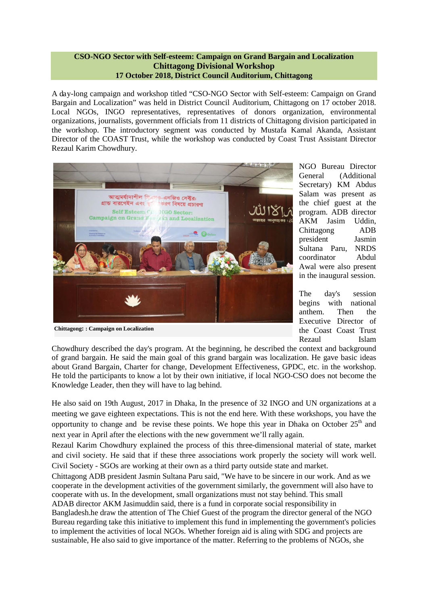#### **CSO-NGO Sector with Self-esteem: Campaign on Grand Bargain and Localization Chittagong Divisional Workshop 17 October 2018, District Council Auditorium, Chittagong**

A day-long campaign and workshop titled "CSO-NGO Sector with Self-esteem: Campaign on Grand Bargain and Localization" was held in District Council Auditorium, Chittagong on 17 october 2018. Local NGOs, INGO representatives, representatives of donors organization, environmental organizations, journalists, government officials from 11 districts of Chittagong division participated in the workshop. The introductory segment was conducted by Mustafa Kamal Akanda, Assistant Director of the COAST Trust, while the workshop was conducted by Coast Trust Assistant Director Rezaul Karim Chowdhury.



**Chittagong: : Campaign on Localization**

NGO Bureau Director General (Additional Secretary) KM Abdus Salam was present as the chief guest at the program. ADB director AKM Jasim Uddin, Chittagong ADB president Jasmin Sultana Paru, NRDS coordinator Abdul Awal were also present in the inaugural session.

The day's session begins with national anthem. Then the Executive Director of the Coast Coast Trust Rezaul Islam

Chowdhury described the day's program. At the beginning, he described the context and background of grand bargain. He said the main goal of this grand bargain was localization. He gave basic ideas about Grand Bargain, Charter for change, Development Effectiveness, GPDC, etc. in the workshop. He told the participants to know a lot by their own initiative, if local NGO-CSO does not become the Knowledge Leader, then they will have to lag behind.

He also said on 19th August, 2017 in Dhaka, In the presence of 32 INGO and UN organizations at a meeting we gave eighteen expectations. This is not the end here. With these workshops, you have the opportunity to change and be revise these points. We hope this year in Dhaka on October 25<sup>th</sup> and next year in April after the elections with the new government we'll rally again.

Rezaul Karim Chowdhury explained the process of this three-dimensional material of state, market and civil society. He said that if these three associations work properly the society will work well. Civil Society - SGOs are working at their own as a third party outside state and market.

Chittagong ADB president Jasmin Sultana Paru said, "We have to be sincere in our work. And as we cooperate in the development activities of the government similarly, the government will also have to cooperate with us. In the development, small organizations must not stay behind. This small ADAB director AKM Jasimuddin said, there is a fund in corporate social responsibility in Bangladesh.he draw the attention of The Chief Guest of the program the director general of the NGO Bureau regarding take this initiative to implement this fund in implementing the government's policies to implement the activities of local NGOs. Whether foreign aid is aling with SDG and projects are sustainable, He also said to give importance of the matter. Referring to the problems of NGOs, she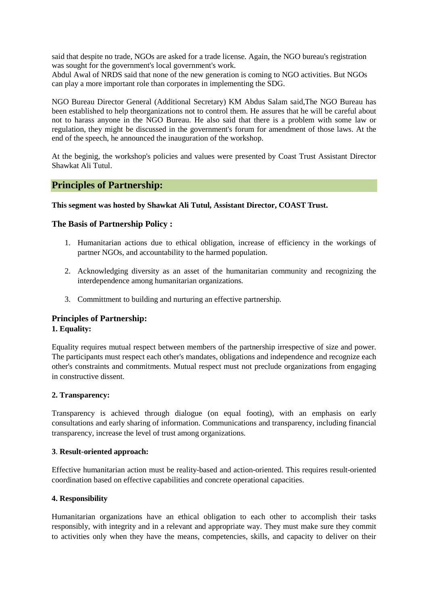said that despite no trade, NGOs are asked for a trade license. Again, the NGO bureau's registration was sought for the government's local government's work.

Abdul Awal of NRDS said that none of the new generation is coming to NGO activities. But NGOs can play a more important role than corporates in implementing the SDG.

NGO Bureau Director General (Additional Secretary) KM Abdus Salam said,The NGO Bureau has been established to help theorganizations not to control them. He assures that he will be careful about not to harass anyone in the NGO Bureau. He also said that there is a problem with some law or regulation, they might be discussed in the government's forum for amendment of those laws. At the end of the speech, he announced the inauguration of the workshop.

At the beginig, the workshop's policies and values were presented by Coast Trust Assistant Director Shawkat Ali Tutul.

# **Principles of Partnership:**

#### **This segment was hosted by Shawkat Ali Tutul, Assistant Director, COAST Trust.**

#### **The Basis of Partnership Policy :**

- 1. Humanitarian actions due to ethical obligation, increase of efficiency in the workings of partner NGOs, and accountability to the harmed population.
- 2. Acknowledging diversity as an asset of the humanitarian community and recognizing the interdependence among humanitarian organizations.
- 3. Committment to building and nurturing an effective partnership.

# **Principles of Partnership: 1. Equality:**

Equality requires mutual respect between members of the partnership irrespective of size and power. The participants must respect each other's mandates, obligations and independence and recognize each other's constraints and commitments. Mutual respect must not preclude organizations from engaging in constructive dissent.

#### **2. Transparency:**

Transparency is achieved through dialogue (on equal footing), with an emphasis on early consultations and early sharing of information. Communications and transparency, including financial transparency, increase the level of trust among organizations.

#### **3**. **Result-oriented approach:**

Effective humanitarian action must be reality-based and action-oriented. This requires result-oriented coordination based on effective capabilities and concrete operational capacities.

#### **4. Responsibility**

Humanitarian organizations have an ethical obligation to each other to accomplish their tasks responsibly, with integrity and in a relevant and appropriate way. They must make sure they commit to activities only when they have the means, competencies, skills, and capacity to deliver on their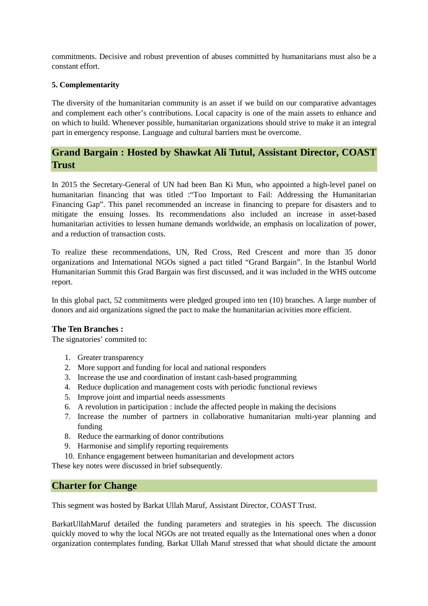commitments. Decisive and robust prevention of abuses committed by humanitarians must also be a constant effort.

#### **5. Complementarity**

The diversity of the humanitarian community is an asset if we build on our comparative advantages and complement each other's contributions. Local capacity is one of the main assets to enhance and on which to build. Whenever possible, humanitarian organizations should strive to make it an integral part in emergency response. Language and cultural barriers must be overcome.

# **Grand Bargain : Hosted by Shawkat Ali Tutul, Assistant Director, COAST Trust**

In 2015 the Secretary-General of UN had been Ban Ki Mun, who appointed a high-level panel on humanitarian financing that was titled :"Too Important to Fail: Addressing the Humanitarian Financing Gap". This panel recommended an increase in financing to prepare for disasters and to mitigate the ensuing losses. Its recommendations also included an increase in asset-based humanitarian activities to lessen humane demands worldwide, an emphasis on localization of power, and a reduction of transaction costs.

To realize these recommendations, UN, Red Cross, Red Crescent and more than 35 donor organizations and International NGOs signed a pact titled "Grand Bargain". In the Istanbul World Humanitarian Summit this Grad Bargain was first discussed, and it was included in the WHS outcome report.

In this global pact, 52 commitments were pledged grouped into ten (10) branches. A large number of donors and aid organizations signed the pact to make the humanitarian acivities more efficient.

#### **The Ten Branches :**

The signatories' commited to:

- 1. Greater transparency
- 2. More support and funding for local and national responders
- 3. Increase the use and coordination of instant cash-based programming
- 4. Reduce duplication and management costs with periodic functional reviews
- 5. Improve joint and impartial needs assessments
- 6. A revolution in participation : include the affected people in making the decisions
- 7. Increase the number of partners in collaborative humanitarian multi-year planning and funding
- 8. Reduce the earmarking of donor contributions
- 9. Harmonise and simplify reporting requirements
- 10. Enhance engagement between humanitarian and development actors

These key notes were discussed in brief subsequently.

# **Charter for Change**

This segment was hosted by Barkat Ullah Maruf, Assistant Director, COAST Trust.

BarkatUllahMaruf detailed the funding parameters and strategies in his speech. The discussion quickly moved to why the local NGOs are not treated equally as the International ones when a donor organization contemplates funding. Barkat Ullah Maruf stressed that what should dictate the amount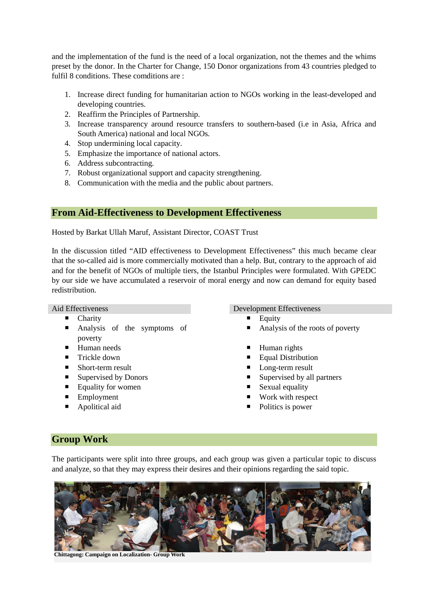and the implementation of the fund is the need of a local organization, not the themes and the whims preset by the donor. In the Charter for Change, 150 Donor organizations from 43 countries pledged to fulfil 8 conditions. These comditions are :

- 1. Increase direct funding for humanitarian action to NGOs working in the least-developed and developing countries.
- 2. Reaffirm the Principles of Partnership.
- 3. Increase transparency around resource transfers to southern-based (i.e in Asia, Africa and South America) national and local NGOs.
- 4. Stop undermining local capacity.
- 5. Emphasize the importance of national actors.
- 6. Address subcontracting.
- 7. Robust organizational support and capacity strengthening.
- 8. Communication with the media and the public about partners.

# **From Aid-Effectiveness to Development Effectiveness**

Hosted by Barkat Ullah Maruf, Assistant Director, COAST Trust

In the discussion titled "AID effectiveness to Development Effectiveness" this much became clear that the so-called aid is more commercially motivated than a help. But, contrary to the approach of aid and for the benefit of NGOs of multiple tiers, the Istanbul Principles were formulated. With GPEDC by our side we have accumulated a reservoir of moral energy and now can demand for equity based redistribution.

- 
- **Analysis of the symptoms of** poverty
- 
- 
- Short-term result Long-term result
- 
- Equality for women Sexual equality
- 
- 

#### Aid Effectiveness Development Effectiveness

- Charity **Equity** Equity
	- Analysis of the roots of poverty
- Human needs Human rights
- Trickle down Equal Distribution
	-
- Supervised by Donors Supervised by all partners
	-
- Employment Work with respect
- Apolitical aid <br>■ Politics is power

# **Group Work**

The participants were split into three groups, and each group was given a particular topic to discuss and analyze, so that they may express their desires and their opinions regarding the said topic.



**Chittagong: Campaign on Localization- Group Work**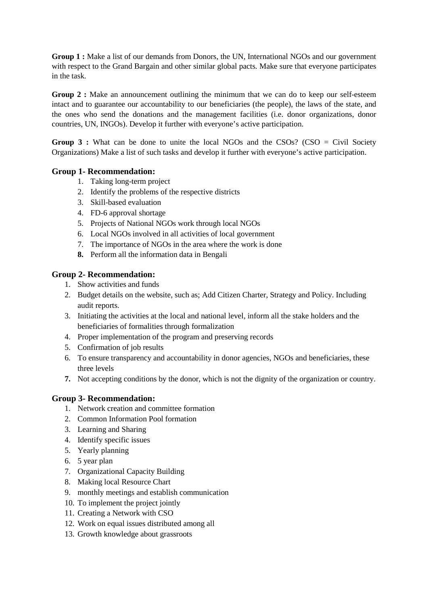**Group 1 :** Make a list of our demands from Donors, the UN, International NGOs and our government with respect to the Grand Bargain and other similar global pacts. Make sure that everyone participates in the task.

**Group 2 :** Make an announcement outlining the minimum that we can do to keep our self-esteem intact and to guarantee our accountability to our beneficiaries (the people), the laws of the state, and the ones who send the donations and the management facilities (i.e. donor organizations, donor countries, UN, INGOs). Develop it further with everyone's active participation.

**Group 3 :** What can be done to unite the local NGOs and the CSOs? (CSO = Civil Society Organizations) Make a list of such tasks and develop it further with everyone's active participation.

# **Group 1- Recommendation:**

- 1. Taking long-term project
- 2. Identify the problems of the respective districts
- 3. Skill-based evaluation
- 4. FD-6 approval shortage
- 5. Projects of National NGOs work through local NGOs
- 6. Local NGOs involved in all activities of local government
- 7. The importance of NGOs in the area where the work is done
- **8.** Perform all the information data in Bengali

# **Group 2- Recommendation:**

- 1. Show activities and funds
- 2. Budget details on the website, such as; Add Citizen Charter, Strategy and Policy. Including audit reports.
- 3. Initiating the activities at the local and national level, inform all the stake holders and the beneficiaries of formalities through formalization
- 4. Proper implementation of the program and preserving records
- 5. Confirmation of job results
- 6. To ensure transparency and accountability in donor agencies, NGOs and beneficiaries, these three levels
- **7.** Not accepting conditions by the donor, which is not the dignity of the organization or country.

# **Group 3- Recommendation:**

- 1. Network creation and committee formation
- 2. Common Information Pool formation
- 3. Learning and Sharing
- 4. Identify specific issues
- 5. Yearly planning
- 6. 5 year plan
- 7. Organizational Capacity Building
- 8. Making local Resource Chart
- 9. monthly meetings and establish communication
- 10. To implement the project jointly
- 11. Creating a Network with CSO
- 12. Work on equal issues distributed among all
- 13. Growth knowledge about grassroots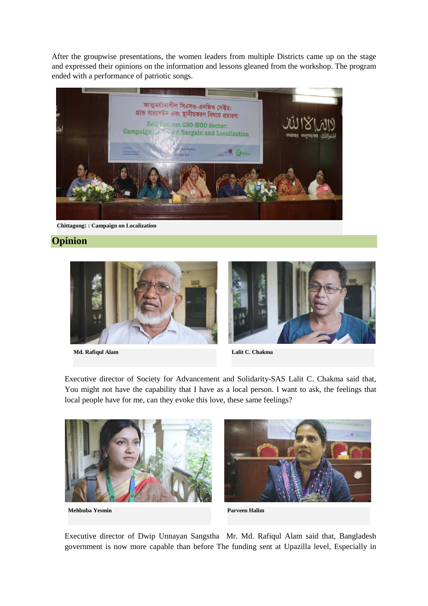After the groupwise presentations, the women leaders from multiple Districts came up on the stage and expressed their opinions on the information and lessons gleaned from the workshop. The program ended with a performance of patriotic songs.



**Chittagong: : Campaign on Localization**

# **Opinion**



**Md. Rafiqul Alam Lalit C. Chakma**



Executive director of Society for Advancement and Solidarity-SAS Lalit C. Chakma said that, You might not have the capability that I have as a local person. I want to ask, the feelings that local people have for me, can they evoke this love, these same feelings?





**Mehbuba Yesmin Parveen Halim**

Executive director of Dwip Unnayan Sangstha Mr. Md. Rafiqul Alam said that, Bangladesh government is now more capable than before The funding sent at Upazilla level, Especially in